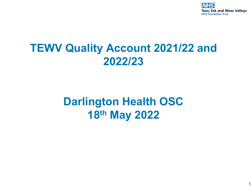

### **TEWV Quality Account 2021/22 and 2022/23**

### **Darlington Health OSC 18th May 2022**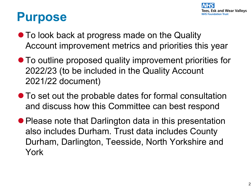

## **Purpose**

- To look back at progress made on the Quality Account improvement metrics and priorities this year
- To outline proposed quality improvement priorities for 2022/23 (to be included in the Quality Account 2021/22 document)
- To set out the probable dates for formal consultation and discuss how this Committee can best respond
- Please note that Darlington data in this presentation also includes Durham. Trust data includes County Durham, Darlington, Teesside, North Yorkshire and York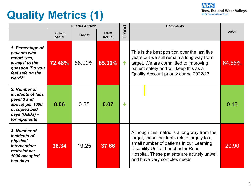# **Quality Metrics (1)**



|                                                                                                                          | <b>Quarter 4 21/22</b>         |               |                               |                         | <b>Comments</b>                                                                                                                                                                                                                                                   |        |
|--------------------------------------------------------------------------------------------------------------------------|--------------------------------|---------------|-------------------------------|-------------------------|-------------------------------------------------------------------------------------------------------------------------------------------------------------------------------------------------------------------------------------------------------------------|--------|
|                                                                                                                          | <b>Durham</b><br><b>Actual</b> | <b>Target</b> | <b>Trust</b><br><b>Actual</b> | rend<br>Ē               |                                                                                                                                                                                                                                                                   | 20/21  |
| 1: Percentage of<br>patients who<br>report 'yes,<br>always' to the<br>question 'Do you<br>feel safe on the<br>ward?'     | <b>72.48%</b>                  | 88.00%        | 65.30%                        | $\uparrow$              | This is the best position over the last five<br>years but we still remain a long way from<br>target. We are committed to improving<br>patient safety and will keep this as a<br>Quality Account priority during 2022/23                                           | 64.66% |
| 2: Number of<br>incidents of falls<br>(level 3 and<br>above) per 1000<br>occupied bed<br>days (OBDs) -<br>for inpatients | 0.06                           | 0.35          | 0.07                          | $\overline{\mathbf{V}}$ |                                                                                                                                                                                                                                                                   | 0.13   |
| 3: Number of<br>incidents of<br>physical<br>intervention/<br>restraint per<br>1000 occupied<br>bed days                  | 36.34                          | 19.25         | 37.66                         |                         | Although this metric is a long way from the<br>target, these incidents relate largely to a<br>small number of patients in our Learning<br><b>Disability Unit at Lanchester Road</b><br>Hospital. These patients are acutely unwell<br>and have very complex needs | 20.90  |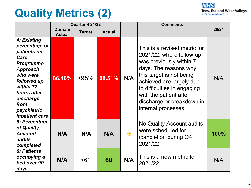## **Quality Metrics (2)**



|                                                                                                                                                                                                  | <b>Quarter 4 21/22</b>         |               |               |               | <b>Comments</b>                                                                                                                                                                                                                                                                  |       |
|--------------------------------------------------------------------------------------------------------------------------------------------------------------------------------------------------|--------------------------------|---------------|---------------|---------------|----------------------------------------------------------------------------------------------------------------------------------------------------------------------------------------------------------------------------------------------------------------------------------|-------|
|                                                                                                                                                                                                  | <b>Durham</b><br><b>Actual</b> | <b>Target</b> | <b>Actual</b> |               |                                                                                                                                                                                                                                                                                  | 20/21 |
| 4: Existing<br>percentage of<br>patients on<br>Care<br><b>Programme</b><br>Approach<br>who were<br>followed up<br>within 72<br>hours after<br>discharge<br>from<br>psychiatric<br>inpatient care | 86.46%                         | >95%          | 88.51%        | N/A           | This is a revised metric for<br>2021/22, where follow-up<br>was previously within 7<br>days. The reasons why<br>this target is not being<br>achieved are largely due<br>to difficulties in engaging<br>with the patient after<br>discharge or breakdown in<br>internal processes | N/A   |
| 5: Percentage<br>of Quality<br><b>Account</b><br>audits<br>completed                                                                                                                             | N/A                            | N/A           | N/A           | $\rightarrow$ | No Quality Account audits<br>were scheduled for<br>completion during Q4<br>2021/22                                                                                                                                                                                               | 100%  |
| <b>6: Patients</b><br>occupying a<br>bed over 90<br>days                                                                                                                                         | N/A                            | < 61          | 60            | N/A           | This is a new metric for<br>2021/22                                                                                                                                                                                                                                              | N/A   |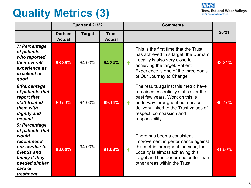## **Quality Metrics (3)**



|                                                                                                                                                      | <b>Quarter 4 21/22</b>         |               |                               |   | <b>Comments</b>                                                                                                                                                                                                                           |        |
|------------------------------------------------------------------------------------------------------------------------------------------------------|--------------------------------|---------------|-------------------------------|---|-------------------------------------------------------------------------------------------------------------------------------------------------------------------------------------------------------------------------------------------|--------|
|                                                                                                                                                      | <b>Durham</b><br><b>Actual</b> | <b>Target</b> | <b>Trust</b><br><b>Actual</b> |   |                                                                                                                                                                                                                                           | 20/21  |
| 7: Percentage<br>of patients<br>who reported<br>their overall<br>experience as<br>excellent or<br>good                                               | 93.88%                         | 94.00%        | 94.34%                        | 个 | This is the first time that the Trust<br>has achieved this target; the Durham<br>Locality is also very close to<br>achieving the target. Patient<br>Experience is one of the three goals<br>of Our Journey to Change                      | 93.21% |
| 8:Percentage<br>of patients that<br>report that<br>staff treated<br>them with<br>dignity and<br>respect                                              | 89.53%                         | 94.00%        | 89.14%                        | 个 | The results against this metric have<br>remained essentially static over the<br>past few years. Work on this is<br>underway throughout our service<br>delivery linked to the Trust values of<br>respect, compassion and<br>responsibility | 86.77% |
| 9: Percentage<br>of patients that<br>would<br>recommend<br>our service to<br>friends and<br>family if they<br>needed similar<br>care or<br>treatment | 93.00%                         | 94.00%        | 91.08%                        | 个 | There has been a consistent<br>improvement in performance against<br>this metric throughout the year, the<br>Locality is almost achieving this<br>target and has performed better than<br>other areas within the Trust                    | 91.60% |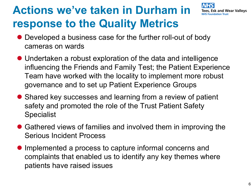# **Actions we've taken in Durham in response to the Quality Metrics**



- Developed a business case for the further roll-out of body cameras on wards
- Undertaken a robust exploration of the data and intelligence influencing the Friends and Family Test; the Patient Experience Team have worked with the locality to implement more robust governance and to set up Patient Experience Groups
- Shared key successes and learning from a review of patient safety and promoted the role of the Trust Patient Safety **Specialist**
- Gathered views of families and involved them in improving the Serious Incident Process
- Implemented a process to capture informal concerns and complaints that enabled us to identify any key themes where patients have raised issues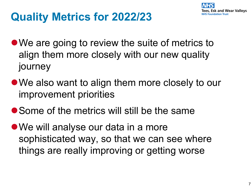

### **Quality Metrics for 2022/23**

- We are going to review the suite of metrics to align them more closely with our new quality journey
- lWe also want to align them more closely to our improvement priorities
- Some of the metrics will still be the same
- We will analyse our data in a more sophisticated way, so that we can see where things are really improving or getting worse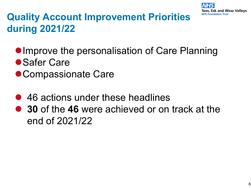

#### **Quality Account Improvement Priorities during 2021/22**

- **Improve the personalisation of Care Planning**
- Safer Care
- Compassionate Care
- 46 actions under these headlines
- **30** of the 46 were achieved or on track at the end of 2021/22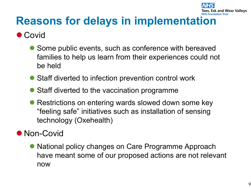

## **Reasons for delays in implementation**

#### **Covid**

- Some public events, such as conference with bereaved families to help us learn from their experiences could not be held
- Staff diverted to infection prevention control work
- Staff diverted to the vaccination programme
- Restrictions on entering wards slowed down some key "feeling safe" initiatives such as installation of sensing technology (Oxehealth)

#### • Non-Covid

• National policy changes on Care Programme Approach have meant some of our proposed actions are not relevant now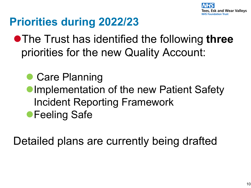

# **Priorities during 2022/23**

- **The Trust has identified the following three** priorities for the new Quality Account:
	- Care Planning
	- **Implementation of the new Patient Safety** Incident Reporting Framework **• Feeling Safe**

Detailed plans are currently being drafted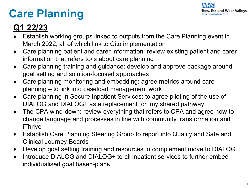# **Care Planning**



#### **Q1 22/23**

- Establish working groups linked to outputs from the Care Planning event in March 2022, all of which link to Cito implementation
- Care planning patient and carer information: review existing patient and carer information that refers to/is about care planning
- Care planning training and guidance: develop and approve package around goal setting and solution-focused approaches
- Care planning monitoring and embedding: agree metrics around care planning – to link into caseload management work
- Care planning in Secure Inpatient Services: to agree piloting of the use of DIALOG and DIALOG+ as a replacement for 'my shared pathway'
- The CPA wind-down: review everything that refers to CPA and agree how to change language and processes in line with community transformation and iThrive
- Establish Care Planning Steering Group to report into Quality and Safe and Clinical Journey Boards
- Develop goal setting training and resources to complement move to DIALOG
- Introduce DIALOG and DIALOG+ to all inpatient services to further embed individualised goal based-plans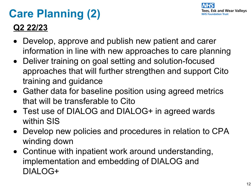

# **Care Planning (2)**

#### **Q2 22/23**

- Develop, approve and publish new patient and carer information in line with new approaches to care planning
- Deliver training on goal setting and solution-focused approaches that will further strengthen and support Cito training and guidance
- Gather data for baseline position using agreed metrics that will be transferable to Cito
- Test use of DIALOG and DIALOG+ in agreed wards within SIS
- Develop new policies and procedures in relation to CPA winding down
- Continue with inpatient work around understanding, implementation and embedding of DIALOG and DIALOG+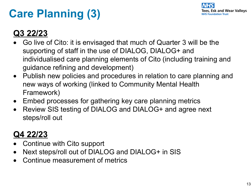# **Care Planning (3)**



#### **Q3 22/23**

- Go live of Cito: it is envisaged that much of Quarter 3 will be the supporting of staff in the use of DIALOG, DIALOG+ and individualised care planning elements of Cito (including training and guidance refining and development)
- Publish new policies and procedures in relation to care planning and new ways of working (linked to Community Mental Health Framework)
- Embed processes for gathering key care planning metrics
- Review SIS testing of DIALOG and DIALOG+ and agree next steps/roll out

#### **Q4 22/23**

- Continue with Cito support
- Next steps/roll out of DIALOG and DIALOG+ in SIS
- Continue measurement of metrics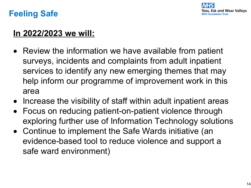

#### **Feeling Safe**

#### **In 2022/2023 we will:**

- Review the information we have available from patient surveys, incidents and complaints from adult inpatient services to identify any new emerging themes that may help inform our programme of improvement work in this area
- Increase the visibility of staff within adult inpatient areas
- Focus on reducing patient-on-patient violence through exploring further use of Information Technology solutions
- Continue to implement the Safe Wards initiative (an evidence-based tool to reduce violence and support a safe ward environment)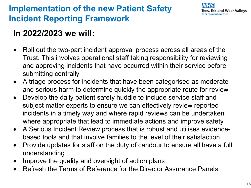#### **Implementation of the new Patient Safety Incident Reporting Framework**



#### **In 2022/2023 we will:**

- Roll out the two-part incident approval process across all areas of the Trust. This involves operational staff taking responsibility for reviewing and approving incidents that have occurred within their service before submitting centrally
- A triage process for incidents that have been categorised as moderate and serious harm to determine quickly the appropriate route for review
- Develop the daily patient safety huddle to include service staff and subject matter experts to ensure we can effectively review reported incidents in a timely way and where rapid reviews can be undertaken where appropriate that lead to immediate actions and improve safety
- A Serious Incident Review process that is robust and utilises evidencebased tools and that involve families to the level of their satisfaction
- Provide updates for staff on the duty of candour to ensure all have a full understanding
- Improve the quality and oversight of action plans
- Refresh the Terms of Reference for the Director Assurance Panels